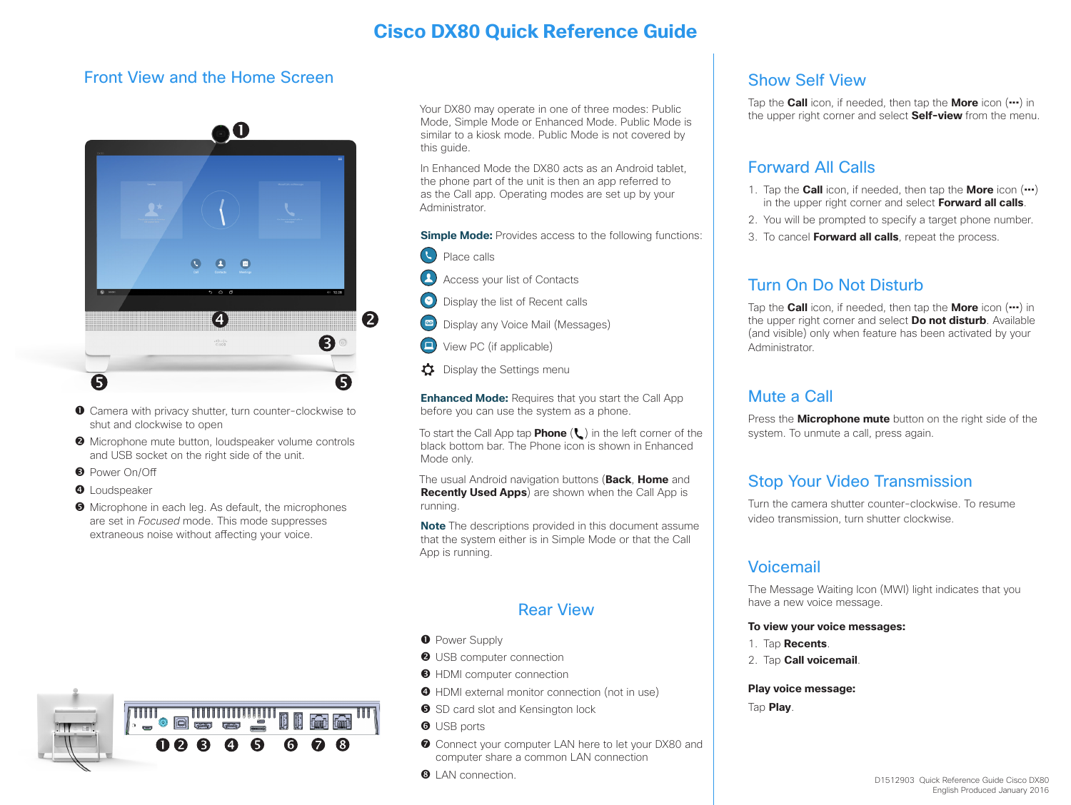# **Cisco DX80 Quick Reference Guide**

### Front View and the Home Screen



- **O** Camera with privacy shutter, turn counter-clockwise to shut and clockwise to open
- **<sup>2</sup>** Microphone mute button, loudspeaker volume controls and USB socket on the right side of the unit.
- **B** Power On/Off
- **O** Loudspeaker
- $\Theta$  Microphone in each leg. As default, the microphones are set in *Focused* mode. This mode suppresses extraneous noise without affecting your voice.

Your DX80 may operate in one of three modes: Public Mode, Simple Mode or Enhanced Mode. Public Mode is similar to a kiosk mode. Public Mode is not covered by this quide.

In Enhanced Mode the DX80 acts as an Android tablet, the phone part of the unit is then an app referred to as the Call app. Operating modes are set up by your Administrator.

**Simple Mode:** Provides access to the following functions:

- Place calls
- $\boldsymbol{\Omega}$ Access your list of Contacts
- Display the list of Recent calls
- $\boxed{60}$ Display any Voice Mail (Messages)
- $\Box$ View PC (if applicable)
- Display the Settings menu

**Enhanced Mode:** Requires that you start the Call App before you can use the system as a phone.

To start the Call App tap **Phone** ( $\ell$ ) in the left corner of the black bottom bar. The Phone icon is shown in Enhanced Mode only.

The usual Android navigation buttons (**Back**, **Home** and **Recently Used Apps**) are shown when the Call App is running.

**Note** The descriptions provided in this document assume that the system either is in Simple Mode or that the Call App is running.

### Rear View

- **O** Power Supply
- **O** USB computer connection
- **O** HDMI computer connection
- HDMI external monitor connection (not in use)
- **S** SD card slot and Kensington lock
- **O** USB ports
- **O** Connect your computer LAN here to let your DX80 and computer share a common LAN connection
- **8** LAN connection

## Show Self View

Tap the **Call** icon, if needed, then tap the **More** icon (**...**) in the upper right corner and select **Self-view** from the menu.

### Forward All Calls

- 1. Tap the **Call** icon, if needed, then tap the **More** icon (**...**) in the upper right corner and select **Forward all calls**.
- 2. You will be prompted to specify a target phone number.
- 3. To cancel **Forward all calls**, repeat the process.

## Turn On Do Not Disturb

Tap the **Call** icon, if needed, then tap the **More** icon (**...**) in the upper right corner and select **Do not disturb**. Available (and visible) only when feature has been activated by your Administrator.

### Mute a Call

Press the **Microphone mute** button on the right side of the system. To unmute a call, press again.

# Stop Your Video Transmission

Turn the camera shutter counter-clockwise. To resume video transmission, turn shutter clockwise.

### Voicemail

The Message Waiting Icon (MWI) light indicates that you have a new voice message.

#### **To view your voice messages:**

- 1. Tap **Recents**.
- 2. Tap **Call voicemail**.

**Play voice message:**

Tap **Play**.